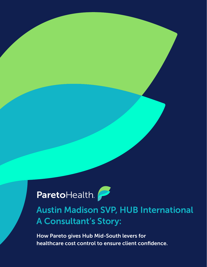ParetoHealth.

Austin Madison SVP, HUB International A Consultant's Story:

How Pareto gives Hub Mid-South levers for healthcare cost control to ensure client confidence.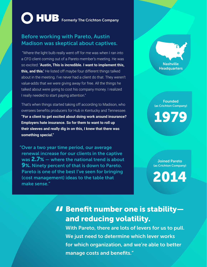# **COLLUB** Formerly The Crichton Company

## Before working with Pareto, Austin Madison was skeptical about captives.

"Where the light bulb really went off for me was when I ran into a CFO client coming out of a Pareto member's meeting. He was so excited: **'Austin, This is incredible. I want to implement this, this, and this.'** He listed off maybe four different things talked about in the meeting. I've never had a client do that. They weren't value-adds that we were giving away for free. All the things he talked about were going to cost his company money. I realized I really needed to start paying attention."

That's when things started taking off according to Madison, who oversees benefits producers for Hub in Kentucky and Tennessee. **"For a client to get excited about doing work around insurance? Employers hate insurance. So for them to want to roll up their sleeves and really dig in on this, I knew that there was something special."**

"Over a two year time period, our average renewal increase for our clients in the captive was 2.7% – where the national trend is about 9%. Ninety percent of that is down to Pareto. Pareto is one of the best I've seen for bringing (cost management) ideas to the table that make sense."

Nashville **Headquarters** 

Founded (as Crichton Company)

1979

Joined Pareto (as Crichton Company)

2014

## **11 Benefit number one is stability—**<br>and reducing volatility. and reducing volatility.

With Pareto, there are lots of levers for us to pull. We just need to determine which lever works for which organization, and we're able to better manage costs and benefits."